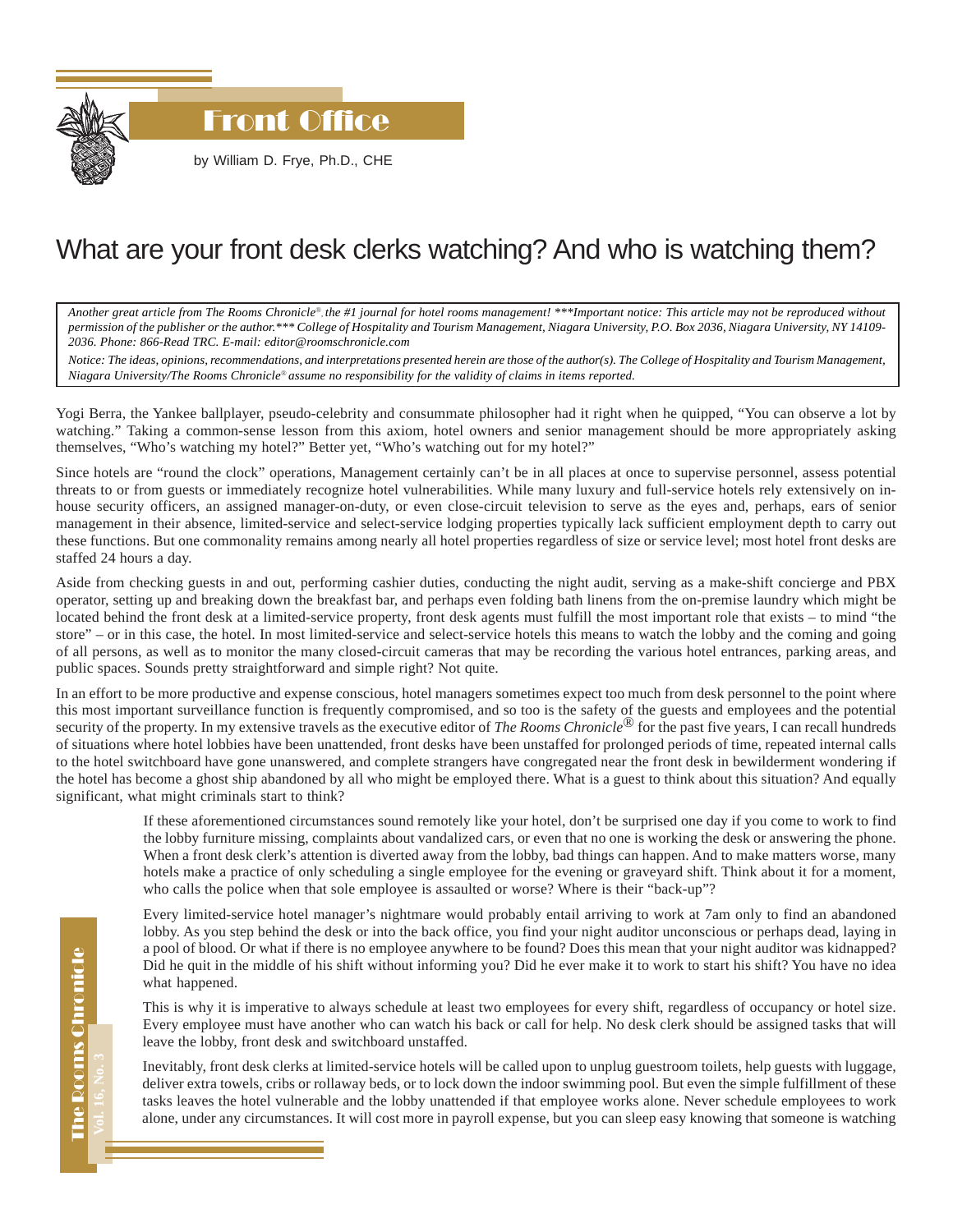

## What are your front desk clerks watching? And who is watching them?

*Another great article from The Rooms Chronicle*®*, the #1 journal for hotel rooms management! \*\*\*Important notice: This article may not be reproduced without permission of the publisher or the author.\*\*\* College of Hospitality and Tourism Management, Niagara University, P.O. Box 2036, Niagara University, NY 14109- 2036. Phone: 866-Read TRC. E-mail: editor@roomschronicle.com*

*Notice: The ideas, opinions, recommendations, and interpretations presented herein are those of the author(s). The College of Hospitality and Tourism Management, Niagara University/The Rooms Chronicle*® *assume no responsibility for the validity of claims in items reported.*

Yogi Berra, the Yankee ballplayer, pseudo-celebrity and consummate philosopher had it right when he quipped, "You can observe a lot by watching." Taking a common-sense lesson from this axiom, hotel owners and senior management should be more appropriately asking themselves, "Who's watching my hotel?" Better yet, "Who's watching out for my hotel?"

Since hotels are "round the clock" operations, Management certainly can't be in all places at once to supervise personnel, assess potential threats to or from guests or immediately recognize hotel vulnerabilities. While many luxury and full-service hotels rely extensively on inhouse security officers, an assigned manager-on-duty, or even close-circuit television to serve as the eyes and, perhaps, ears of senior management in their absence, limited-service and select-service lodging properties typically lack sufficient employment depth to carry out these functions. But one commonality remains among nearly all hotel properties regardless of size or service level; most hotel front desks are staffed 24 hours a day.

Aside from checking guests in and out, performing cashier duties, conducting the night audit, serving as a make-shift concierge and PBX operator, setting up and breaking down the breakfast bar, and perhaps even folding bath linens from the on-premise laundry which might be located behind the front desk at a limited-service property, front desk agents must fulfill the most important role that exists – to mind "the store" – or in this case, the hotel. In most limited-service and select-service hotels this means to watch the lobby and the coming and going of all persons, as well as to monitor the many closed-circuit cameras that may be recording the various hotel entrances, parking areas, and public spaces. Sounds pretty straightforward and simple right? Not quite.

In an effort to be more productive and expense conscious, hotel managers sometimes expect too much from desk personnel to the point where this most important surveillance function is frequently compromised, and so too is the safety of the guests and employees and the potential security of the property. In my extensive travels as the executive editor of *The Rooms Chronicle*<sup>®</sup> for the past five years, I can recall hundreds of situations where hotel lobbies have been unattended, front desks have been unstaffed for prolonged periods of time, repeated internal calls to the hotel switchboard have gone unanswered, and complete strangers have congregated near the front desk in bewilderment wondering if the hotel has become a ghost ship abandoned by all who might be employed there. What is a guest to think about this situation? And equally significant, what might criminals start to think?

> If these aforementioned circumstances sound remotely like your hotel, don't be surprised one day if you come to work to find the lobby furniture missing, complaints about vandalized cars, or even that no one is working the desk or answering the phone. When a front desk clerk's attention is diverted away from the lobby, bad things can happen. And to make matters worse, many hotels make a practice of only scheduling a single employee for the evening or graveyard shift. Think about it for a moment, who calls the police when that sole employee is assaulted or worse? Where is their "back-up"?

> Every limited-service hotel manager's nightmare would probably entail arriving to work at 7am only to find an abandoned lobby. As you step behind the desk or into the back office, you find your night auditor unconscious or perhaps dead, laying in a pool of blood. Or what if there is no employee anywhere to be found? Does this mean that your night auditor was kidnapped? Did he quit in the middle of his shift without informing you? Did he ever make it to work to start his shift? You have no idea what happened.

> This is why it is imperative to always schedule at least two employees for every shift, regardless of occupancy or hotel size. Every employee must have another who can watch his back or call for help. No desk clerk should be assigned tasks that will leave the lobby, front desk and switchboard unstaffed.

> Inevitably, front desk clerks at limited-service hotels will be called upon to unplug guestroom toilets, help guests with luggage, deliver extra towels, cribs or rollaway beds, or to lock down the indoor swimming pool. But even the simple fulfillment of these tasks leaves the hotel vulnerable and the lobby unattended if that employee works alone. Never schedule employees to work alone, under any circumstances. It will cost more in payroll expense, but you can sleep easy knowing that someone is watching